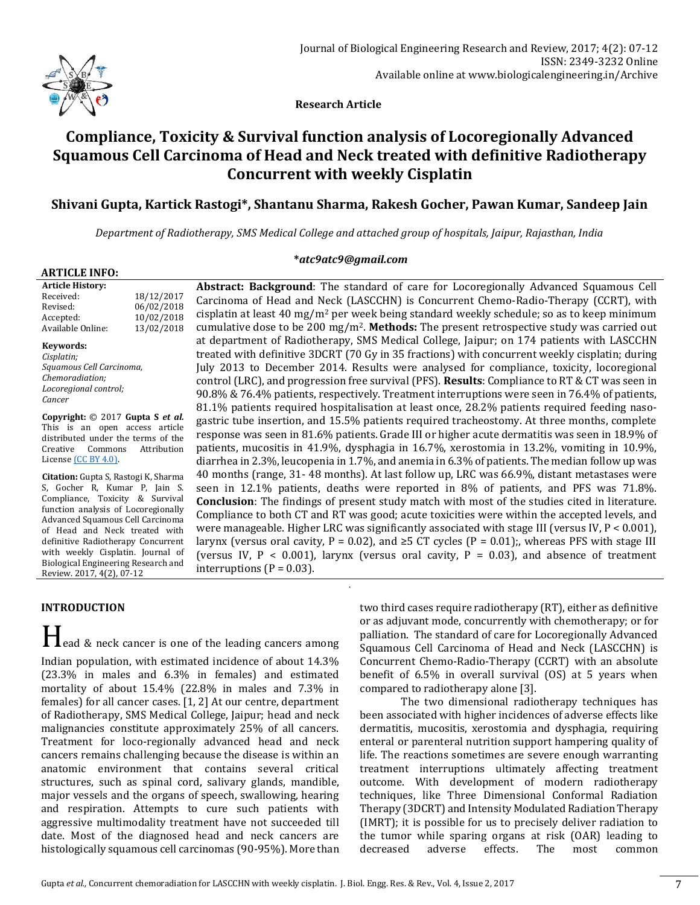

 **Research Article**

# **Compliance, Toxicity & Survival function analysis of Locoregionally Advanced Squamous Cell Carcinoma of Head and Neck treated with definitive Radiotherapy Concurrent with weekly Cisplatin**

## **Shivani Gupta, Kartick Rastogi\*, Shantanu Sharma, Rakesh Gocher, Pawan Kumar, Sandeep Jain**

*Department of Radiotherapy, SMS Medical College and attached group of hospitals, Jaipur, Rajasthan, India*

#### **\****atc9atc9@gmail.com*

.

|  | <b>ARTICLE INFO:</b> |  |
|--|----------------------|--|
|  |                      |  |

| <b>Article History:</b> |            |
|-------------------------|------------|
| Received:               | 18/12/2017 |
| Revised:                | 06/02/2018 |
| Accepted:               | 10/02/2018 |
| Available Online:       | 13/02/2018 |

#### **Keywords:**

*Cisplatin; Squamous Cell Carcinoma, Chemoradiation; Locoregional control; Cancer*

**Copyright:** © 2017 **Gupta S** *et al.* This is an open access article distributed under the terms of the Creative Commons Attribution Licens[e \(CC BY 4.0\).](https://creativecommons.org/licenses/by/4.0/)

**Citation:** Gupta S, Rastogi K, Sharma S, Gocher R, Kumar P, Jain S. Compliance, Toxicity & Survival function analysis of Locoregionally Advanced Squamous Cell Carcinoma of Head and Neck treated with definitive Radiotherapy Concurrent with weekly Cisplatin. Journal of Biological Engineering Research and Review. 2017, 4(2), 07-12

## Carcinoma of Head and Neck (LASCCHN) is Concurrent Chemo-Radio-Therapy (CCRT), with cisplatin at least 40 mg/m<sup>2</sup> per week being standard weekly schedule; so as to keep minimum cumulative dose to be 200 mg/m2. **Methods:** The present retrospective study was carried out at department of Radiotherapy, SMS Medical College, Jaipur; on 174 patients with LASCCHN treated with definitive 3DCRT (70 Gy in 35 fractions) with concurrent weekly cisplatin; during July 2013 to December 2014. Results were analysed for compliance, toxicity, locoregional control (LRC), and progression free survival (PFS). **Results**: Compliance to RT & CT was seen in 90.8% & 76.4% patients, respectively. Treatment interruptions were seen in 76.4% of patients, 81.1% patients required hospitalisation at least once, 28.2% patients required feeding nasogastric tube insertion, and 15.5% patients required tracheostomy. At three months, complete response was seen in 81.6% patients. Grade III or higher acute dermatitis was seen in 18.9% of patients, mucositis in 41.9%, dysphagia in 16.7%, xerostomia in 13.2%, vomiting in 10.9%, diarrhea in 2.3%, leucopenia in 1.7%, and anemia in 6.3% of patients. The median follow up was 40 months (range, 31- 48 months). At last follow up, LRC was 66.9%, distant metastases were seen in 12.1% patients, deaths were reported in 8% of patients, and PFS was 71.8%. **Conclusion**: The findings of present study match with most of the studies cited in literature. Compliance to both CT and RT was good; acute toxicities were within the accepted levels, and were manageable. Higher LRC was significantly associated with stage III (versus IV, P < 0.001), larynx (versus oral cavity, P = 0.02), and  $\geq$  5 CT cycles (P = 0.01);, whereas PFS with stage III (versus IV,  $P < 0.001$ ), larynx (versus oral cavity,  $P = 0.03$ ), and absence of treatment interruptions ( $P = 0.03$ ).

**Abstract: Background**: The standard of care for Locoregionally Advanced Squamous Cell

## **INTRODUCTION**

Head & neck cancer is one of the leading cancers among Indian population, with estimated incidence of about 14.3% (23.3% in males and 6.3% in females) and estimated mortality of about 15.4% (22.8% in males and 7.3% in females) for all cancer cases. [1, 2] At our centre, department of Radiotherapy, SMS Medical College, Jaipur; head and neck malignancies constitute approximately 25% of all cancers. Treatment for loco-regionally advanced head and neck cancers remains challenging because the disease is within an anatomic environment that contains several critical structures, such as spinal cord, salivary glands, mandible, major vessels and the organs of speech, swallowing, hearing and respiration. Attempts to cure such patients with aggressive multimodality treatment have not succeeded till date. Most of the diagnosed head and neck cancers are histologically squamous cell carcinomas (90-95%). More than

two third cases require radiotherapy (RT), either as definitive or as adjuvant mode, concurrently with chemotherapy; or for palliation. The standard of care for Locoregionally Advanced Squamous Cell Carcinoma of Head and Neck (LASCCHN) is Concurrent Chemo-Radio-Therapy (CCRT) with an absolute benefit of 6.5% in overall survival (OS) at 5 years when compared to radiotherapy alone [3].

The two dimensional radiotherapy techniques has been associated with higher incidences of adverse effects like dermatitis, mucositis, xerostomia and dysphagia, requiring enteral or parenteral nutrition support hampering quality of life. The reactions sometimes are severe enough warranting treatment interruptions ultimately affecting treatment outcome. With development of modern radiotherapy techniques, like Three Dimensional Conformal Radiation Therapy (3DCRT) and Intensity Modulated Radiation Therapy (IMRT); it is possible for us to precisely deliver radiation to the tumor while sparing organs at risk (OAR) leading to decreased adverse effects. The most common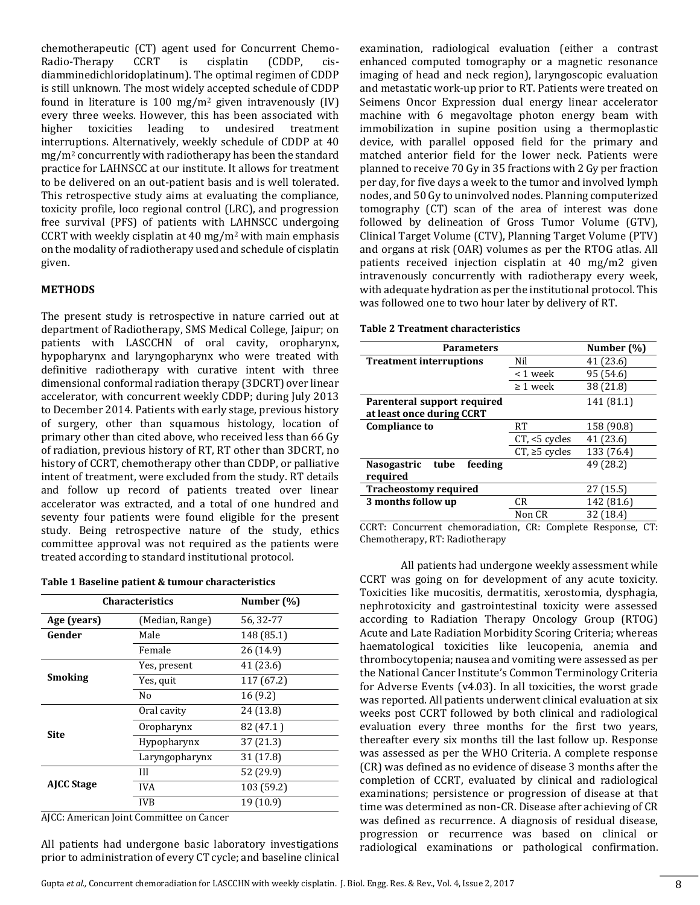chemotherapeutic (CT) agent used for Concurrent Chemo-Radio-Therapy CCRT is cisplatin (CDDP, cisdiamminedichloridoplatinum). The optimal regimen of CDDP is still unknown. The most widely accepted schedule of CDDP found in literature is 100 mg/m<sup>2</sup> given intravenously  $(IV)$ every three weeks. However, this has been associated with higher toxicities leading to undesired treatment interruptions. Alternatively, weekly schedule of CDDP at 40 mg/m<sup>2</sup> concurrently with radiotherapy has been the standard practice for LAHNSCC at our institute. It allows for treatment to be delivered on an out-patient basis and is well tolerated. This retrospective study aims at evaluating the compliance, toxicity profile, loco regional control (LRC), and progression free survival (PFS) of patients with LAHNSCC undergoing CCRT with weekly cisplatin at 40 mg/m<sup>2</sup> with main emphasis on the modality of radiotherapy used and schedule of cisplatin given.

## **METHODS**

The present study is retrospective in nature carried out at department of Radiotherapy, SMS Medical College, Jaipur; on patients with LASCCHN of oral cavity, oropharynx, hypopharynx and laryngopharynx who were treated with definitive radiotherapy with curative intent with three dimensional conformal radiation therapy (3DCRT) over linear accelerator, with concurrent weekly CDDP; during July 2013 to December 2014. Patients with early stage, previous history of surgery, other than squamous histology, location of primary other than cited above, who received less than 66 Gy of radiation, previous history of RT, RT other than 3DCRT, no history of CCRT, chemotherapy other than CDDP, or palliative intent of treatment, were excluded from the study. RT details and follow up record of patients treated over linear accelerator was extracted, and a total of one hundred and seventy four patients were found eligible for the present study. Being retrospective nature of the study, ethics committee approval was not required as the patients were treated according to standard institutional protocol.

|  | Table 1 Baseline patient & tumour characteristics |  |
|--|---------------------------------------------------|--|
|--|---------------------------------------------------|--|

| <b>Characteristics</b>         |                | Number (%) |  |
|--------------------------------|----------------|------------|--|
| Age (years)<br>(Median, Range) |                | 56, 32-77  |  |
| Gender                         | Male           | 148 (85.1) |  |
|                                | Female         | 26(14.9)   |  |
|                                | Yes, present   | 41 (23.6)  |  |
| Smoking                        | Yes, quit      | 117 (67.2) |  |
|                                | No             | 16(9.2)    |  |
|                                | Oral cavity    | 24 (13.8)  |  |
|                                | Oropharynx     | 82 (47.1)  |  |
| Site                           | Hypopharynx    | 37(21.3)   |  |
|                                | Laryngopharynx | 31 (17.8)  |  |
|                                | Ш              | 52 (29.9)  |  |
| <b>AICC Stage</b>              | <b>IVA</b>     | 103 (59.2) |  |
|                                | IVB            | 19 (10.9)  |  |

AJCC: American Joint Committee on Cancer

All patients had undergone basic laboratory investigations prior to administration of every CT cycle; and baseline clinical

examination, radiological evaluation (either a contrast enhanced computed tomography or a magnetic resonance imaging of head and neck region), laryngoscopic evaluation and metastatic work-up prior to RT. Patients were treated on Seimens Oncor Expression dual energy linear accelerator machine with 6 megavoltage photon energy beam with immobilization in supine position using a thermoplastic device, with parallel opposed field for the primary and matched anterior field for the lower neck. Patients were planned to receive 70 Gy in 35 fractions with 2 Gy per fraction per day, for five days a week to the tumor and involved lymph nodes, and 50 Gy to uninvolved nodes. Planning computerized tomography (CT) scan of the area of interest was done followed by delineation of Gross Tumor Volume (GTV), Clinical Target Volume (CTV), Planning Target Volume (PTV) and organs at risk (OAR) volumes as per the RTOG atlas. All patients received injection cisplatin at 40 mg/m2 given intravenously concurrently with radiotherapy every week, with adequate hydration as per the institutional protocol. This was followed one to two hour later by delivery of RT.

**Table 2 Treatment characteristics**

| <b>Parameters</b>                     |                        | Number (%) |
|---------------------------------------|------------------------|------------|
| <b>Treatment interruptions</b>        | Nil                    | 41 (23.6)  |
|                                       | < 1 week               | 95 (54.6)  |
|                                       | $\geq 1$ week          | 38 (21.8)  |
| Parenteral support required           |                        | 141 (81.1) |
| at least once during CCRT             |                        |            |
| <b>Compliance to</b>                  | RT                     | 158 (90.8) |
|                                       | CT, <5 cycles          | 41 (23.6)  |
|                                       | $CT$ , $\geq 5$ cycles | 133 (76.4) |
| <b>Nasogastric</b><br>tube<br>feeding |                        | 49 (28.2)  |
| required                              |                        |            |
| <b>Tracheostomy required</b>          |                        | 27 (15.5)  |
| 3 months follow up                    | CR.                    | 142 (81.6) |
|                                       | Non CR                 | 32 (18.4)  |

CCRT: Concurrent chemoradiation, CR: Complete Response, CT: Chemotherapy, RT: Radiotherapy

All patients had undergone weekly assessment while CCRT was going on for development of any acute toxicity. Toxicities like mucositis, dermatitis, xerostomia, dysphagia, nephrotoxicity and gastrointestinal toxicity were assessed according to Radiation Therapy Oncology Group (RTOG) Acute and Late Radiation Morbidity Scoring Criteria; whereas haematological toxicities like leucopenia, anemia and thrombocytopenia; nausea and vomiting were assessed as per the National Cancer Institute's Common Terminology Criteria for Adverse Events (v4.03). In all toxicities, the worst grade was reported. All patients underwent clinical evaluation at six weeks post CCRT followed by both clinical and radiological evaluation every three months for the first two years, thereafter every six months till the last follow up. Response was assessed as per the WHO Criteria. A complete response (CR) was defined as no evidence of disease 3 months after the completion of CCRT, evaluated by clinical and radiological examinations; persistence or progression of disease at that time was determined as non-CR. Disease after achieving of CR was defined as recurrence. A diagnosis of residual disease, progression or recurrence was based on clinical or radiological examinations or pathological confirmation.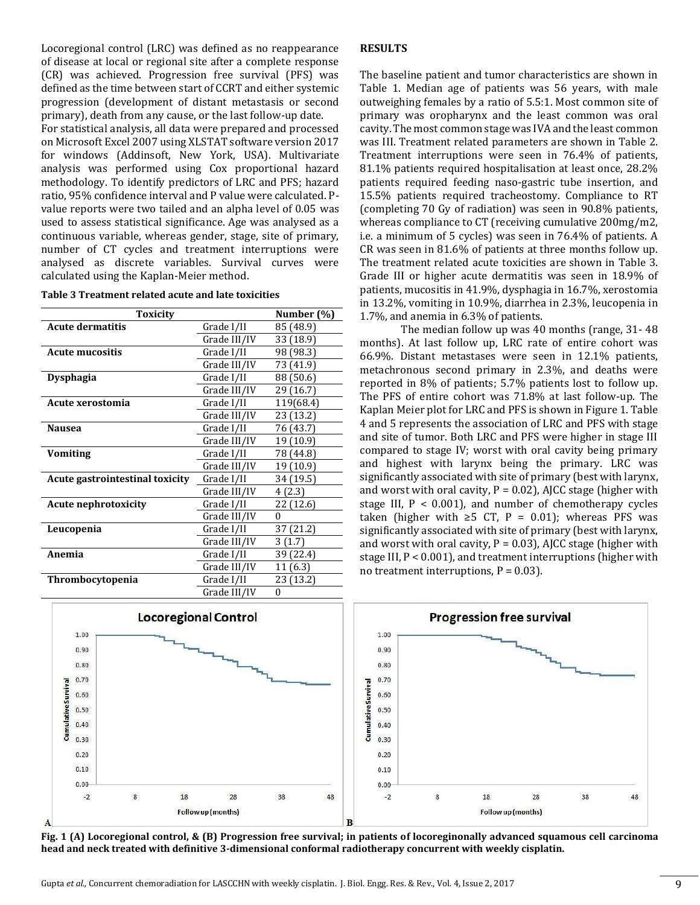Locoregional control (LRC) was defined as no reappearance of disease at local or regional site after a complete response (CR) was achieved. Progression free survival (PFS) was defined as the time between start of CCRT and either systemic progression (development of distant metastasis or second primary), death from any cause, or the last follow-up date.

For statistical analysis, all data were prepared and processed on Microsoft Excel 2007 using XLSTAT software version 2017 for windows (Addinsoft, New York, USA). Multivariate analysis was performed using Cox proportional hazard methodology. To identify predictors of LRC and PFS; hazard ratio, 95% confidence interval and P value were calculated. Pvalue reports were two tailed and an alpha level of 0.05 was used to assess statistical significance. Age was analysed as a continuous variable, whereas gender, stage, site of primary, number of CT cycles and treatment interruptions were analysed as discrete variables. Survival curves were calculated using the Kaplan-Meier method.

| Table 3 Treatment related acute and late toxicities |
|-----------------------------------------------------|
|-----------------------------------------------------|

| Toxicity                               |              | Number (%) |
|----------------------------------------|--------------|------------|
| <b>Acute dermatitis</b>                | Grade I/II   | 85 (48.9)  |
|                                        | Grade III/IV | 33 (18.9)  |
| <b>Acute mucositis</b>                 | Grade I/II   | 98 (98.3)  |
|                                        | Grade III/IV | 73 (41.9)  |
| <b>Dysphagia</b>                       | Grade I/II   | 88 (50.6)  |
|                                        | Grade III/IV | 29 (16.7)  |
| Acute xerostomia                       | Grade I/II   | 119(68.4)  |
|                                        | Grade III/IV | 23 (13.2)  |
| <b>Nausea</b>                          | Grade I/II   | 76 (43.7)  |
|                                        | Grade III/IV | 19 (10.9)  |
| Vomiting                               | Grade I/II   | 78 (44.8)  |
|                                        | Grade III/IV | 19 (10.9)  |
| <b>Acute gastrointestinal toxicity</b> | Grade I/II   | 34 (19.5)  |
|                                        | Grade III/IV | 4(2.3)     |
| <b>Acute nephrotoxicity</b>            | Grade I/II   | 22 (12.6)  |
|                                        | Grade III/IV | $\Omega$   |
| Leucopenia                             | Grade I/II   | 37 (21.2)  |
|                                        | Grade III/IV | 3(1.7)     |
| Anemia                                 | Grade I/II   | 39 (22.4)  |
|                                        | Grade III/IV | 11 (6.3)   |
| Thrombocytopenia                       | Grade I/II   | 23 (13.2)  |
|                                        | Grade III/IV | 0          |

#### **RESULTS**

The baseline patient and tumor characteristics are shown in Table 1. Median age of patients was 56 years, with male outweighing females by a ratio of 5.5:1. Most common site of primary was oropharynx and the least common was oral cavity. The most common stage was IVA and the least common was III. Treatment related parameters are shown in Table 2. Treatment interruptions were seen in 76.4% of patients, 81.1% patients required hospitalisation at least once, 28.2% patients required feeding naso-gastric tube insertion, and 15.5% patients required tracheostomy. Compliance to RT (completing 70 Gy of radiation) was seen in 90.8% patients, whereas compliance to CT (receiving cumulative 200mg/m2, i.e. a minimum of 5 cycles) was seen in 76.4% of patients. A CR was seen in 81.6% of patients at three months follow up. The treatment related acute toxicities are shown in Table 3. Grade III or higher acute dermatitis was seen in 18.9% of patients, mucositis in 41.9%, dysphagia in 16.7%, xerostomia in 13.2%, vomiting in 10.9%, diarrhea in 2.3%, leucopenia in 1.7%, and anemia in 6.3% of patients.

The median follow up was 40 months (range, 31- 48 months). At last follow up, LRC rate of entire cohort was 66.9%. Distant metastases were seen in 12.1% patients, metachronous second primary in 2.3%, and deaths were reported in 8% of patients; 5.7% patients lost to follow up. The PFS of entire cohort was 71.8% at last follow-up. The Kaplan Meier plot for LRC and PFS is shown in Figure 1. Table 4 and 5 represents the association of LRC and PFS with stage and site of tumor. Both LRC and PFS were higher in stage III compared to stage IV; worst with oral cavity being primary and highest with larynx being the primary. LRC was significantly associated with site of primary (best with larynx, and worst with oral cavity,  $P = 0.02$ ), AJCC stage (higher with stage III,  $P < 0.001$ ), and number of chemotherapy cycles taken (higher with ≥5 CT, P = 0.01); whereas PFS was significantly associated with site of primary (best with larynx, and worst with oral cavity,  $P = 0.03$ ), AJCC stage (higher with stage III, P < 0.001), and treatment interruptions (higher with no treatment interruptions,  $P = 0.03$ ).



**Fig. 1 (A) Locoregional control, & (B) Progression free survival; in patients of locoreginonally advanced squamous cell carcinoma head and neck treated with definitive 3-dimensional conformal radiotherapy concurrent with weekly cisplatin.**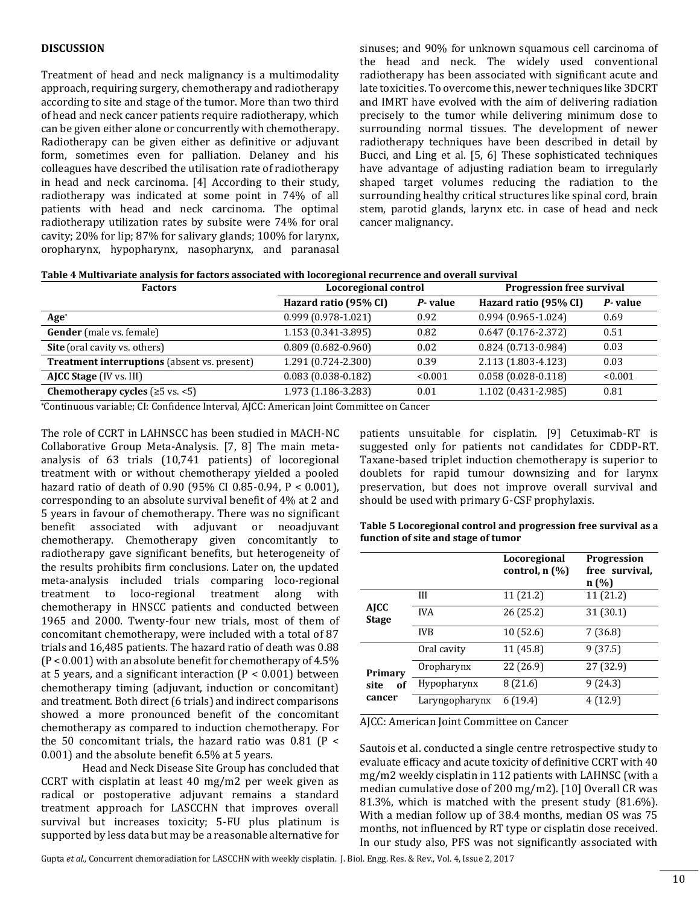#### **DISCUSSION**

Treatment of head and neck malignancy is a multimodality approach, requiring surgery, chemotherapy and radiotherapy according to site and stage of the tumor. More than two third of head and neck cancer patients require radiotherapy, which can be given either alone or concurrently with chemotherapy. Radiotherapy can be given either as definitive or adjuvant form, sometimes even for palliation. Delaney and his colleagues have described the utilisation rate of radiotherapy in head and neck carcinoma. [4] According to their study, radiotherapy was indicated at some point in 74% of all patients with head and neck carcinoma. The optimal radiotherapy utilization rates by subsite were 74% for oral cavity; 20% for lip; 87% for salivary glands; 100% for larynx, oropharynx, hypopharynx, nasopharynx, and paranasal sinuses; and 90% for unknown squamous cell carcinoma of the head and neck. The widely used conventional radiotherapy has been associated with significant acute and late toxicities. To overcome this, newer techniques like 3DCRT and IMRT have evolved with the aim of delivering radiation precisely to the tumor while delivering minimum dose to surrounding normal tissues. The development of newer radiotherapy techniques have been described in detail by Bucci, and Ling et al. [5, 6] These sophisticated techniques have advantage of adjusting radiation beam to irregularly shaped target volumes reducing the radiation to the surrounding healthy critical structures like spinal cord, brain stem, parotid glands, larynx etc. in case of head and neck cancer malignancy.

| Table 4 Multivariate analysis for factors associated with locoregional recurrence and overall survival |
|--------------------------------------------------------------------------------------------------------|
|--------------------------------------------------------------------------------------------------------|

| <b>Factors</b>                                      | Locoregional control   |         | <b>Progression free survival</b> |         |
|-----------------------------------------------------|------------------------|---------|----------------------------------|---------|
|                                                     | Hazard ratio (95% CI)  | P-value | Hazard ratio (95% CI)            | P-value |
| $Age*$                                              | $0.999(0.978-1.021)$   | 0.92    | $0.994(0.965-1.024)$             | 0.69    |
| <b>Gender</b> (male vs. female)                     | 1.153 (0.341-3.895)    | 0.82    | $0.647(0.176 - 2.372)$           | 0.51    |
| Site (oral cavity vs. others)                       | $0.809(0.682 - 0.960)$ | 0.02    | $0.824(0.713-0.984)$             | 0.03    |
| <b>Treatment interruptions</b> (absent vs. present) | 1.291 (0.724-2.300)    | 0.39    | 2.113 (1.803-4.123)              | 0.03    |
| AJCC Stage (IV vs. III)                             | $0.083(0.038-0.182)$   | < 0.001 | $0.058(0.028-0.118)$             | < 0.001 |
| <b>Chemotherapy cycles</b> $(≥5 vs. <5)$            | 1.973 (1.186-3.283)    | 0.01    | 1.102 (0.431-2.985)              | 0.81    |
|                                                     |                        |         |                                  |         |

\*Continuous variable; CI: Confidence Interval, AJCC: American Joint Committee on Cancer

The role of CCRT in LAHNSCC has been studied in MACH-NC Collaborative Group Meta-Analysis. [7, 8] The main metaanalysis of 63 trials (10,741 patients) of locoregional treatment with or without chemotherapy yielded a pooled hazard ratio of death of 0.90 (95% CI 0.85-0.94, P < 0.001), corresponding to an absolute survival benefit of 4% at 2 and 5 years in favour of chemotherapy. There was no significant benefit associated with adjuvant or neoadjuvant chemotherapy. Chemotherapy given concomitantly to radiotherapy gave significant benefits, but heterogeneity of the results prohibits firm conclusions. Later on, the updated meta-analysis included trials comparing loco-regional treatment to loco-regional treatment along with chemotherapy in HNSCC patients and conducted between 1965 and 2000. Twenty-four new trials, most of them of concomitant chemotherapy, were included with a total of 87 trials and 16,485 patients. The hazard ratio of death was 0.88 (P < 0.001) with an absolute benefit for chemotherapy of 4.5% at 5 years, and a significant interaction ( $P < 0.001$ ) between chemotherapy timing (adjuvant, induction or concomitant) and treatment. Both direct (6 trials) and indirect comparisons showed a more pronounced benefit of the concomitant chemotherapy as compared to induction chemotherapy. For the 50 concomitant trials, the hazard ratio was  $0.81$  (P < 0.001) and the absolute benefit 6.5% at 5 years.

Head and Neck Disease Site Group has concluded that CCRT with cisplatin at least 40 mg/m2 per week given as radical or postoperative adjuvant remains a standard treatment approach for LASCCHN that improves overall survival but increases toxicity; 5-FU plus platinum is supported by less data but may be a reasonable alternative for

patients unsuitable for cisplatin. [9] Cetuximab-RT is suggested only for patients not candidates for CDDP-RT. Taxane-based triplet induction chemotherapy is superior to doublets for rapid tumour downsizing and for larynx preservation, but does not improve overall survival and should be used with primary G-CSF prophylaxis.

| Table 5 Locoregional control and progression free survival as a |
|-----------------------------------------------------------------|
| function of site and stage of tumor                             |

|                             |                | Locoregional<br>control, $n(\%)$ | <b>Progression</b><br>free survival,<br>n(%) |
|-----------------------------|----------------|----------------------------------|----------------------------------------------|
|                             | III            | 11 (21.2)                        | 11 (21.2)                                    |
| <b>AJCC</b><br><b>Stage</b> | <b>IVA</b>     | 26 (25.2)                        | 31(30.1)                                     |
|                             | <b>IVB</b>     | 10(52.6)                         | 7(36.8)                                      |
|                             | Oral cavity    | 11 (45.8)                        | 9(37.5)                                      |
| Primary<br>site<br>of       | Oropharynx     | 22 (26.9)                        | 27 (32.9)                                    |
|                             | Hypopharynx    | 8(21.6)                          | 9(24.3)                                      |
| cancer                      | Laryngopharynx | 6(19.4)                          | 4 (12.9)                                     |

AJCC: American Joint Committee on Cancer

Sautois et al. conducted a single centre retrospective study to evaluate efficacy and acute toxicity of definitive CCRT with 40 mg/m2 weekly cisplatin in 112 patients with LAHNSC (with a median cumulative dose of 200 mg/m2). [10] Overall CR was 81.3%, which is matched with the present study (81.6%). With a median follow up of 38.4 months, median OS was 75 months, not influenced by RT type or cisplatin dose received. In our study also, PFS was not significantly associated with

Gupta *et al.,* Concurrent chemoradiation for LASCCHN with weekly cisplatin. J. Biol. Engg. Res. & Rev., Vol. 4, Issue 2, 2017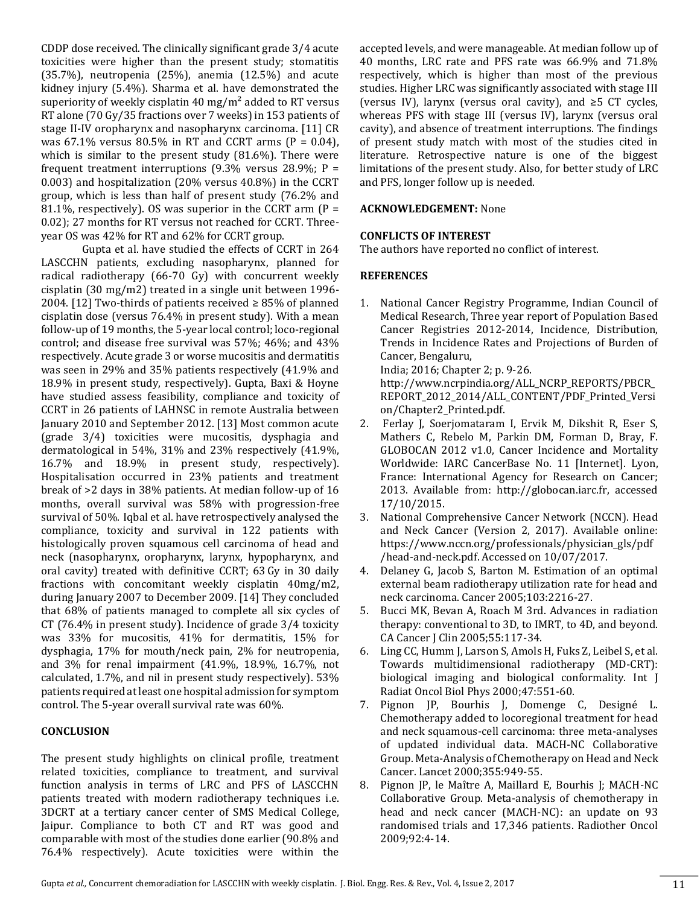CDDP dose received. The clinically significant grade 3/4 acute toxicities were higher than the present study; stomatitis (35.7%), neutropenia (25%), anemia (12.5%) and acute kidney injury (5.4%). Sharma et al. have demonstrated the superiority of weekly cisplatin 40 mg/m<sup>2</sup> added to RT versus RT alone (70 Gy/35 fractions over 7 weeks) in 153 patients of stage II-IV oropharynx and nasopharynx carcinoma. [11] CR was  $67.1\%$  versus  $80.5\%$  in RT and CCRT arms (P = 0.04), which is similar to the present study (81.6%). There were frequent treatment interruptions (9.3% versus 28.9%;  $P =$ 0.003) and hospitalization (20% versus 40.8%) in the CCRT group, which is less than half of present study (76.2% and 81.1%, respectively). OS was superior in the CCRT arm  $(P =$ 0.02); 27 months for RT versus not reached for CCRT. Threeyear OS was 42% for RT and 62% for CCRT group.

Gupta et al. have studied the effects of CCRT in 264 LASCCHN patients, excluding nasopharynx, planned for radical radiotherapy (66-70 Gy) with concurrent weekly cisplatin (30 mg/m2) treated in a single unit between 1996- 2004. [12] Two-thirds of patients received  $\geq$  85% of planned cisplatin dose (versus 76.4% in present study). With a mean follow-up of 19 months, the 5-year local control; loco-regional control; and disease free survival was 57%; 46%; and 43% respectively. Acute grade 3 or worse mucositis and dermatitis was seen in 29% and 35% patients respectively (41.9% and 18.9% in present study, respectively). Gupta, Baxi & Hoyne have studied assess feasibility, compliance and toxicity of CCRT in 26 patients of LAHNSC in remote Australia between January 2010 and September 2012. [13] Most common acute (grade 3/4) toxicities were mucositis, dysphagia and dermatological in 54%, 31% and 23% respectively (41.9%, 16.7% and 18.9% in present study, respectively). Hospitalisation occurred in 23% patients and treatment break of >2 days in 38% patients. At median follow-up of 16 months, overall survival was 58% with progression-free survival of 50%. Iqbal et al. have retrospectively analysed the compliance, toxicity and survival in 122 patients with histologically proven squamous cell carcinoma of head and neck (nasopharynx, oropharynx, larynx, hypopharynx, and oral cavity) treated with definitive CCRT; 63 Gy in 30 daily fractions with concomitant weekly cisplatin 40mg/m2, during January 2007 to December 2009. [14] They concluded that 68% of patients managed to complete all six cycles of CT (76.4% in present study). Incidence of grade 3/4 toxicity was 33% for mucositis, 41% for dermatitis, 15% for dysphagia, 17% for mouth/neck pain, 2% for neutropenia, and 3% for renal impairment (41.9%, 18.9%, 16.7%, not calculated, 1.7%, and nil in present study respectively). 53% patients required at least one hospital admission for symptom control. The 5-year overall survival rate was 60%.

## **CONCLUSION**

The present study highlights on clinical profile, treatment related toxicities, compliance to treatment, and survival function analysis in terms of LRC and PFS of LASCCHN patients treated with modern radiotherapy techniques i.e. 3DCRT at a tertiary cancer center of SMS Medical College, Jaipur. Compliance to both CT and RT was good and comparable with most of the studies done earlier (90.8% and 76.4% respectively). Acute toxicities were within the

accepted levels, and were manageable. At median follow up of 40 months, LRC rate and PFS rate was 66.9% and 71.8% respectively, which is higher than most of the previous studies. Higher LRC was significantly associated with stage III (versus IV), larynx (versus oral cavity), and  $\geq$ 5 CT cycles, whereas PFS with stage III (versus IV), larynx (versus oral cavity), and absence of treatment interruptions. The findings of present study match with most of the studies cited in literature. Retrospective nature is one of the biggest limitations of the present study. Also, for better study of LRC and PFS, longer follow up is needed.

## **ACKNOWLEDGEMENT:** None

#### **CONFLICTS OF INTEREST**

The authors have reported no conflict of interest.

#### **REFERENCES**

1. National Cancer Registry Programme, Indian Council of Medical Research, Three year report of Population Based Cancer Registries 2012-2014, Incidence, Distribution, Trends in Incidence Rates and Projections of Burden of Cancer, Bengaluru,

India; 2016; Chapter 2; p. 9-26.

http://www.ncrpindia.org/ALL\_NCRP\_REPORTS/PBCR\_ REPORT\_2012\_2014/ALL\_CONTENT/PDF\_Printed\_Versi on/Chapter2\_Printed.pdf.

- 2. Ferlay J, Soerjomataram I, Ervik M, Dikshit R, Eser S, Mathers C, Rebelo M, Parkin DM, Forman D, Bray, F. GLOBOCAN 2012 v1.0, Cancer Incidence and Mortality Worldwide: IARC CancerBase No. 11 [Internet]. Lyon, France: International Agency for Research on Cancer; 2013. Available from: http://globocan.iarc.fr, accessed 17/10/2015.
- 3. National Comprehensive Cancer Network (NCCN). Head and Neck Cancer (Version 2, 2017). Available online: https://www.nccn.org/professionals/physician\_gls/pdf /head-and-neck.pdf. Accessed on 10/07/2017.
- 4. Delaney G, Jacob S, Barton M. Estimation of an optimal external beam radiotherapy utilization rate for head and neck carcinoma. Cancer 2005;103:2216-27.
- 5. Bucci MK, Bevan A, Roach M 3rd. Advances in radiation therapy: conventional to 3D, to IMRT, to 4D, and beyond. CA Cancer J Clin 2005;55:117-34.
- 6. Ling CC, Humm J, Larson S, Amols H, Fuks Z, Leibel S, et al. Towards multidimensional radiotherapy (MD-CRT): biological imaging and biological conformality. Int J Radiat Oncol Biol Phys 2000;47:551-60.
- 7. Pignon JP, Bourhis J, Domenge C, Designé L. Chemotherapy added to locoregional treatment for head and neck squamous-cell carcinoma: three meta-analyses of updated individual data. MACH-NC Collaborative Group. Meta-Analysis of Chemotherapy on Head and Neck Cancer. Lancet 2000;355:949-55.
- 8. Pignon JP, le Maître A, Maillard E, Bourhis J; MACH-NC Collaborative Group. Meta-analysis of chemotherapy in head and neck cancer (MACH-NC): an update on 93 randomised trials and 17,346 patients. Radiother Oncol 2009;92:4-14.